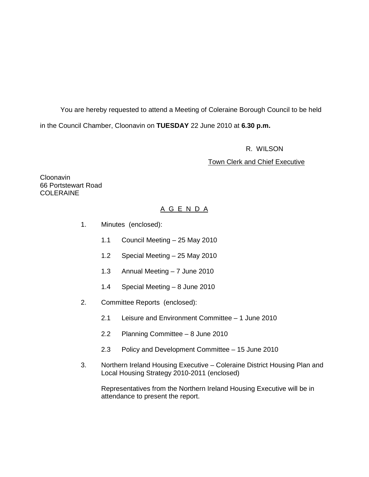You are hereby requested to attend a Meeting of Coleraine Borough Council to be held in the Council Chamber, Cloonavin on **TUESDAY** 22 June 2010 at **6.30 p.m.** 

R. WILSON

**Town Clerk and Chief Executive** 

**Cloonavin** 66 Portstewart Road COLERAINE

# A G E N D A

- 1. Minutes (enclosed):
	- 1.1 Council Meeting 25 May 2010
	- 1.2 Special Meeting 25 May 2010
	- 1.3 Annual Meeting 7 June 2010
	- 1.4 Special Meeting 8 June 2010
- 2. Committee Reports (enclosed):
	- 2.1 Leisure and Environment Committee 1 June 2010
	- 2.2 Planning Committee 8 June 2010
	- 2.3 Policy and Development Committee 15 June 2010
- 3. Northern Ireland Housing Executive Coleraine District Housing Plan and Local Housing Strategy 2010-2011 (enclosed)

Representatives from the Northern Ireland Housing Executive will be in attendance to present the report.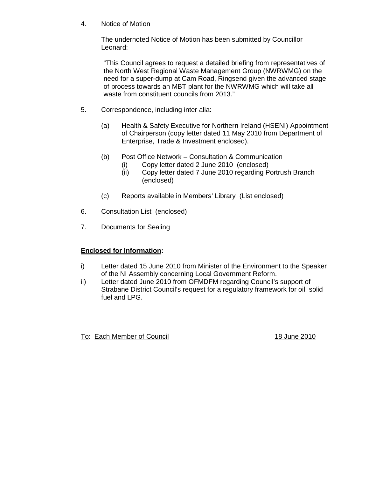4. Notice of Motion

 The undernoted Notice of Motion has been submitted by Councillor Leonard:

"This Council agrees to request a detailed briefing from representatives of the North West Regional Waste Management Group (NWRWMG) on the need for a super-dump at Cam Road, Ringsend given the advanced stage of process towards an MBT plant for the NWRWMG which will take all waste from constituent councils from 2013."

- 5. Correspondence, including inter alia:
	- (a) Health & Safety Executive for Northern Ireland (HSENI) Appointment of Chairperson (copy letter dated 11 May 2010 from Department of Enterprise, Trade & Investment enclosed).
	- (b) Post Office Network Consultation & Communication
		- (i) Copy letter dated 2 June 2010 (enclosed)
		- (ii) Copy letter dated 7 June 2010 regarding Portrush Branch (enclosed)
	- (c) Reports available in Members' Library (List enclosed)
- 6. Consultation List (enclosed)
- 7. Documents for Sealing

#### **Enclosed for Information:**

- i) Letter dated 15 June 2010 from Minister of the Environment to the Speaker of the NI Assembly concerning Local Government Reform.
- ii) Letter dated June 2010 from OFMDFM regarding Council's support of Strabane District Council's request for a regulatory framework for oil, solid fuel and LPG.

To: Each Member of Council 18 June 2010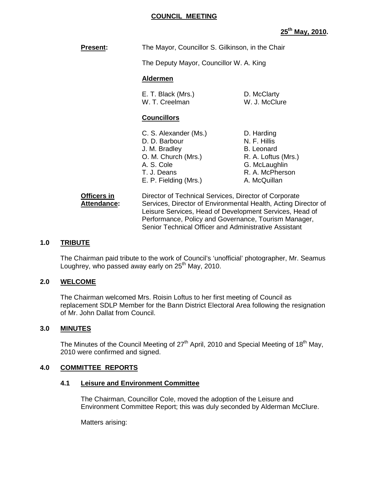#### **COUNCIL MEETING**

| <b>Present:</b> | The Mayor, Councillor S. Gilkinson, in the Chair<br>The Deputy Mayor, Councillor W. A. King<br><b>Aldermen</b>                       |                                                                                                                            |
|-----------------|--------------------------------------------------------------------------------------------------------------------------------------|----------------------------------------------------------------------------------------------------------------------------|
|                 |                                                                                                                                      |                                                                                                                            |
|                 |                                                                                                                                      |                                                                                                                            |
|                 | E. T. Black (Mrs.)<br>W. T. Creelman                                                                                                 | D. McClarty<br>W. J. McClure                                                                                               |
|                 | <b>Councillors</b>                                                                                                                   |                                                                                                                            |
|                 | C. S. Alexander (Ms.)<br>D. D. Barbour<br>J. M. Bradley<br>O. M. Church (Mrs.)<br>A. S. Cole<br>T. J. Deans<br>E. P. Fielding (Mrs.) | D. Harding<br>N. F. Hillis<br><b>B.</b> Leonard<br>R. A. Loftus (Mrs.)<br>G. McLaughlin<br>R. A. McPherson<br>A. McQuillan |
| Officers in     | Director of Technical Services, Director of Corporate                                                                                |                                                                                                                            |

Attendance: Services, Director of Environmental Health, Acting Director of Leisure Services, Head of Development Services, Head of Performance, Policy and Governance, Tourism Manager, Senior Technical Officer and Administrative Assistant

# **1.0 TRIBUTE**

The Chairman paid tribute to the work of Council's 'unofficial' photographer, Mr. Seamus Loughrey, who passed away early on  $25<sup>th</sup>$  May, 2010.

#### **2.0 WELCOME**

The Chairman welcomed Mrs. Roisin Loftus to her first meeting of Council as replacement SDLP Member for the Bann District Electoral Area following the resignation of Mr. John Dallat from Council.

## **3.0 MINUTES**

The Minutes of the Council Meeting of  $27<sup>th</sup>$  April, 2010 and Special Meeting of 18<sup>th</sup> May, 2010 were confirmed and signed.

# **4.0 COMMITTEE REPORTS**

#### **4.1 Leisure and Environment Committee**

 The Chairman, Councillor Cole, moved the adoption of the Leisure and Environment Committee Report; this was duly seconded by Alderman McClure.

Matters arising: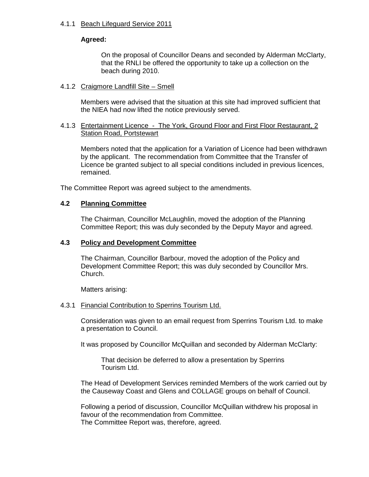#### 4.1.1 Beach Lifeguard Service 2011

# **Agreed:**

On the proposal of Councillor Deans and seconded by Alderman McClarty, that the RNLI be offered the opportunity to take up a collection on the beach during 2010.

#### 4.1.2 Craigmore Landfill Site – Smell

 Members were advised that the situation at this site had improved sufficient that the NIEA had now lifted the notice previously served.

#### 4.1.3 Entertainment Licence - The York, Ground Floor and First Floor Restaurant, 2 Station Road, Portstewart

 Members noted that the application for a Variation of Licence had been withdrawn by the applicant. The recommendation from Committee that the Transfer of Licence be granted subject to all special conditions included in previous licences, remained.

The Committee Report was agreed subject to the amendments.

#### **4.2 Planning Committee**

 The Chairman, Councillor McLaughlin, moved the adoption of the Planning Committee Report; this was duly seconded by the Deputy Mayor and agreed.

#### **4.3 Policy and Development Committee**

 The Chairman, Councillor Barbour, moved the adoption of the Policy and Development Committee Report; this was duly seconded by Councillor Mrs. Church.

Matters arising:

#### 4.3.1 Financial Contribution to Sperrins Tourism Ltd.

Consideration was given to an email request from Sperrins Tourism Ltd. to make a presentation to Council.

It was proposed by Councillor McQuillan and seconded by Alderman McClarty:

 That decision be deferred to allow a presentation by Sperrins Tourism Ltd.

The Head of Development Services reminded Members of the work carried out by the Causeway Coast and Glens and COLLAGE groups on behalf of Council.

Following a period of discussion, Councillor McQuillan withdrew his proposal in favour of the recommendation from Committee. The Committee Report was, therefore, agreed.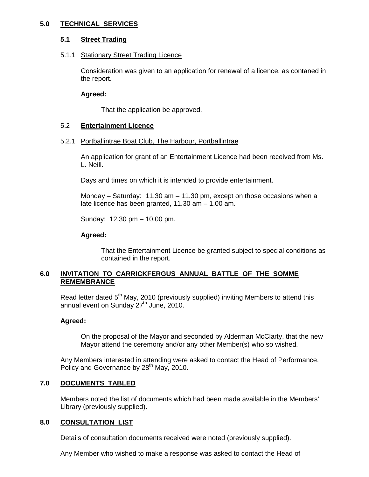# **5.0 TECHNICAL SERVICES**

#### **5.1 Street Trading**

### 5.1.1 Stationary Street Trading Licence

 Consideration was given to an application for renewal of a licence, as contaned in the report.

### **Agreed:**

That the application be approved.

# 5.2 **Entertainment Licence**

#### 5.2.1 Portballintrae Boat Club, The Harbour, Portballintrae

 An application for grant of an Entertainment Licence had been received from Ms. L. Neill.

Days and times on which it is intended to provide entertainment.

Monday – Saturday:  $11.30$  am –  $11.30$  pm, except on those occasions when a late licence has been granted, 11.30 am – 1.00 am.

Sunday: 12.30 pm – 10.00 pm.

#### **Agreed:**

That the Entertainment Licence be granted subject to special conditions as contained in the report.

# **6.0 INVITATION TO CARRICKFERGUS ANNUAL BATTLE OF THE SOMME REMEMBRANCE**

Read letter dated 5<sup>th</sup> May, 2010 (previously supplied) inviting Members to attend this annual event on Sunday  $27<sup>th</sup>$  June, 2010.

#### **Agreed:**

On the proposal of the Mayor and seconded by Alderman McClarty, that the new Mayor attend the ceremony and/or any other Member(s) who so wished.

Any Members interested in attending were asked to contact the Head of Performance, Policy and Governance by 28<sup>th</sup> May, 2010.

# **7.0 DOCUMENTS TABLED**

 Members noted the list of documents which had been made available in the Members' Library (previously supplied).

# **8.0 CONSULTATION LIST**

Details of consultation documents received were noted (previously supplied).

Any Member who wished to make a response was asked to contact the Head of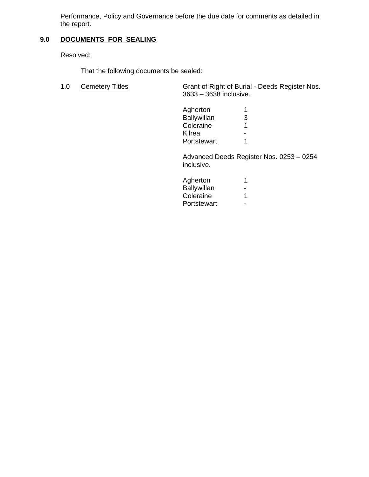Performance, Policy and Governance before the due date for comments as detailed in the report.

# **9.0 DOCUMENTS FOR SEALING**

Resolved:

That the following documents be sealed:

1.0 Cemetery Titles Grant of Right of Burial - Deeds Register Nos. 3633 – 3638 inclusive.

| Agherton    | 1 |
|-------------|---|
| Ballywillan | 3 |
| Coleraine   | 1 |
| Kilrea      |   |
| Portstewart | 1 |

Advanced Deeds Register Nos. 0253 – 0254 inclusive.

| Agherton    | 1 |
|-------------|---|
| Ballywillan |   |
| Coleraine   | 1 |
| Portstewart |   |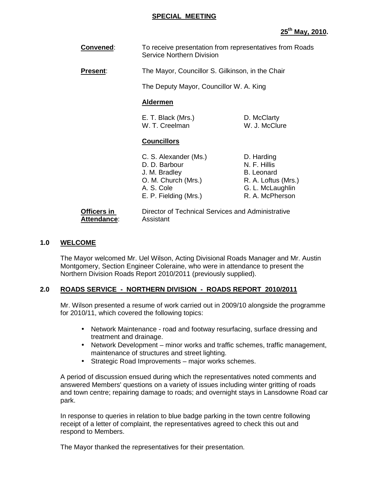#### **SPECIAL MEETING**

# **25th May, 2010.**

- **Convened:** To receive presentation from representatives from Roads Service Northern Division
- **Present:** The Mayor, Councillor S. Gilkinson, in the Chair

The Deputy Mayor, Councillor W. A. King

#### **Aldermen**

| E. T. Black (Mrs.) |  |
|--------------------|--|
| W. T. Creelman     |  |

D. McClarty W. J. McClure

#### **Councillors**

| C. S. Alexander (Ms.) | D. Harding          |
|-----------------------|---------------------|
| D. D. Barbour         | N. F. Hillis        |
| J. M. Bradley         | <b>B.</b> Leonard   |
| O. M. Church (Mrs.)   | R. A. Loftus (Mrs.) |
| A. S. Cole            | G. L. McLaughlin    |
| E. P. Fielding (Mrs.) | R. A. McPherson     |
|                       |                     |

# **Attendance**: Assistant

**Officers in Commetal Director of Technical Services and Administrative** 

# **1.0 WELCOME**

The Mayor welcomed Mr. Uel Wilson, Acting Divisional Roads Manager and Mr. Austin Montgomery, Section Engineer Coleraine, who were in attendance to present the Northern Division Roads Report 2010/2011 (previously supplied).

# **2.0 ROADS SERVICE - NORTHERN DIVISION - ROADS REPORT 2010/2011**

Mr. Wilson presented a resume of work carried out in 2009/10 alongside the programme for 2010/11, which covered the following topics:

- Network Maintenance road and footway resurfacing, surface dressing and treatment and drainage.
- Network Development minor works and traffic schemes, traffic management, maintenance of structures and street lighting.
- Strategic Road Improvements major works schemes.

A period of discussion ensued during which the representatives noted comments and answered Members' questions on a variety of issues including winter gritting of roads and town centre; repairing damage to roads; and overnight stays in Lansdowne Road car park.

In response to queries in relation to blue badge parking in the town centre following receipt of a letter of complaint, the representatives agreed to check this out and respond to Members.

The Mayor thanked the representatives for their presentation.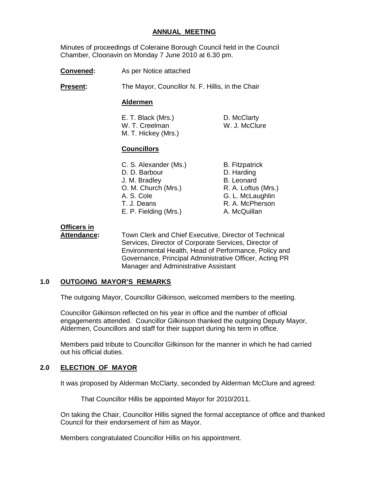#### **ANNUAL MEETING**

 Minutes of proceedings of Coleraine Borough Council held in the Council Chamber, Cloonavin on Monday 7 June 2010 at 6.30 pm.

**Convened:** As per Notice attached

**Present:** The Mayor, Councillor N. F. Hillis, in the Chair

#### **Aldermen**

E. T. Black (Mrs.) D. McClarty W. T. Creelman W. J. McClure M. T. Hickey (Mrs.)

#### **Councillors**

C. S. Alexander (Ms.) B. Fitzpatrick D. D. Barbour D. Harding J. M. Bradley B. Leonard<br>
O. M. Church (Mrs.) R. A. Loftus (Mrs.) O. M. Church (Mrs.) A. S. Cole G. L. McLaughlin T. J. Deans R. A. McPherson E. P. Fielding (Mrs.) A. McQuillan

# **Officers in**

 **Attendance:** Town Clerk and Chief Executive, Director of Technical Services, Director of Corporate Services, Director of Environmental Health, Head of Performance, Policy and Governance, Principal Administrative Officer, Acting PR Manager and Administrative Assistant

#### **1.0 OUTGOING MAYOR'S REMARKS**

The outgoing Mayor, Councillor Gilkinson, welcomed members to the meeting.

 Councillor Gilkinson reflected on his year in office and the number of official engagements attended. Councillor Gilkinson thanked the outgoing Deputy Mayor, Aldermen, Councillors and staff for their support during his term in office.

 Members paid tribute to Councillor Gilkinson for the manner in which he had carried out his official duties.

#### **2.0 ELECTION OF MAYOR**

It was proposed by Alderman McClarty, seconded by Alderman McClure and agreed:

That Councillor Hillis be appointed Mayor for 2010/2011.

 On taking the Chair, Councillor Hillis signed the formal acceptance of office and thanked Council for their endorsement of him as Mayor.

Members congratulated Councillor Hillis on his appointment.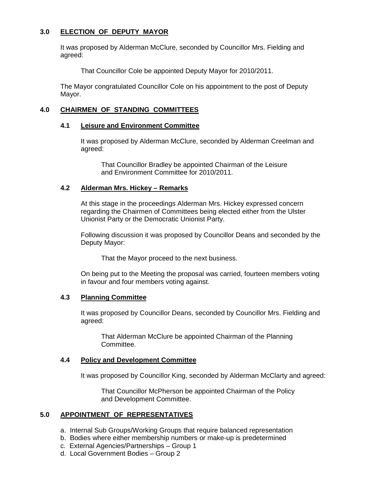# **3.0 ELECTION OF DEPUTY MAYOR**

 It was proposed by Alderman McClure, seconded by Councillor Mrs. Fielding and agreed:

That Councillor Cole be appointed Deputy Mayor for 2010/2011.

 The Mayor congratulated Councillor Cole on his appointment to the post of Deputy Mayor.

### **4.0 CHAIRMEN OF STANDING COMMITTEES**

#### **4.1 Leisure and Environment Committee**

 It was proposed by Alderman McClure, seconded by Alderman Creelman and agreed:

 That Councillor Bradley be appointed Chairman of the Leisure and Environment Committee for 2010/2011.

#### **4.2 Alderman Mrs. Hickey – Remarks**

 At this stage in the proceedings Alderman Mrs. Hickey expressed concern regarding the Chairmen of Committees being elected either from the Ulster Unionist Party or the Democratic Unionist Party.

 Following discussion it was proposed by Councillor Deans and seconded by the Deputy Mayor:

That the Mayor proceed to the next business.

 On being put to the Meeting the proposal was carried, fourteen members voting in favour and four members voting against.

#### **4.3 Planning Committee**

 It was proposed by Councillor Deans, seconded by Councillor Mrs. Fielding and agreed:

 That Alderman McClure be appointed Chairman of the Planning **Committee.** 

#### **4.4 Policy and Development Committee**

It was proposed by Councillor King, seconded by Alderman McClarty and agreed:

 That Councillor McPherson be appointed Chairman of the Policy and Development Committee.

#### **5.0 APPOINTMENT OF REPRESENTATIVES**

- a. Internal Sub Groups/Working Groups that require balanced representation
- b. Bodies where either membership numbers or make-up is predetermined
- c. External Agencies/Partnerships Group 1
- d. Local Government Bodies Group 2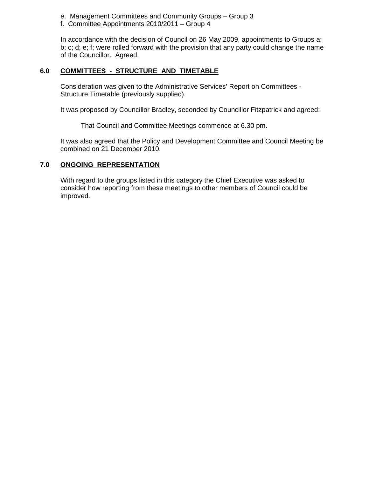- e. Management Committees and Community Groups Group 3
- f. Committee Appointments 2010/2011 Group 4

 In accordance with the decision of Council on 26 May 2009, appointments to Groups a; b; c; d; e; f; were rolled forward with the provision that any party could change the name of the Councillor. Agreed.

### **6.0 COMMITTEES - STRUCTURE AND TIMETABLE**

 Consideration was given to the Administrative Services' Report on Committees - Structure Timetable (previously supplied).

It was proposed by Councillor Bradley, seconded by Councillor Fitzpatrick and agreed:

That Council and Committee Meetings commence at 6.30 pm.

 It was also agreed that the Policy and Development Committee and Council Meeting be combined on 21 December 2010.

#### **7.0 ONGOING REPRESENTATION**

 With regard to the groups listed in this category the Chief Executive was asked to consider how reporting from these meetings to other members of Council could be improved.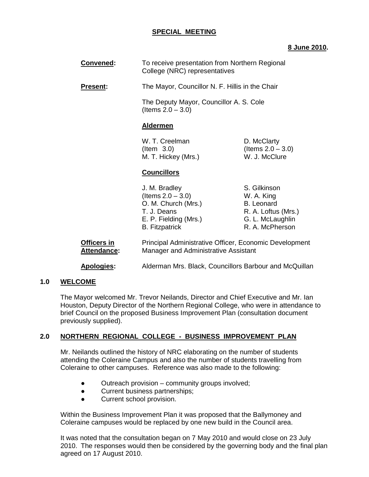# **SPECIAL MEETING**

### **8 June 2010.**

| Convened: | To receive presentation from Northern Regional |
|-----------|------------------------------------------------|
|           | College (NRC) representatives                  |

**Present:** The Mayor, Councillor N. F. Hillis in the Chair

 The Deputy Mayor, Councillor A. S. Cole (Items  $2.0 - 3.0$ )

#### **Aldermen**

W. T. Creelman D. McClarty (Item 3.0)  $($ Items  $2.0 - 3.0)$ <br>
M. T. Hickey (Mrs.)  $\qquad \qquad$  W. J. McClure M. T. Hickey (Mrs.)

#### **Councillors**

| J. M. Bradley         | S. Gilkinson        |
|-----------------------|---------------------|
| (Items $2.0 - 3.0$ )  | W. A. King          |
| O. M. Church (Mrs.)   | <b>B.</b> Leonard   |
| T. J. Deans           | R. A. Loftus (Mrs.) |
| E. P. Fielding (Mrs.) | G. L. McLaughlin    |
| <b>B.</b> Fitzpatrick | R. A. McPherson     |
|                       |                     |

| Officers in | Principal Administrative Officer, Economic Development |
|-------------|--------------------------------------------------------|
| Attendance: | Manager and Administrative Assistant                   |

**Apologies:** Alderman Mrs. Black, Councillors Barbour and McQuillan

#### **1.0 WELCOME**

 The Mayor welcomed Mr. Trevor Neilands, Director and Chief Executive and Mr. Ian Houston, Deputy Director of the Northern Regional College, who were in attendance to brief Council on the proposed Business Improvement Plan (consultation document previously supplied).

#### **2.0 NORTHERN REGIONAL COLLEGE - BUSINESS IMPROVEMENT PLAN**

 Mr. Neilands outlined the history of NRC elaborating on the number of students attending the Coleraine Campus and also the number of students travelling from Coleraine to other campuses. Reference was also made to the following:

- Outreach provision community groups involved;
- Current business partnerships;
- Current school provision.

 Within the Business Improvement Plan it was proposed that the Ballymoney and Coleraine campuses would be replaced by one new build in the Council area.

 It was noted that the consultation began on 7 May 2010 and would close on 23 July 2010. The responses would then be considered by the governing body and the final plan agreed on 17 August 2010.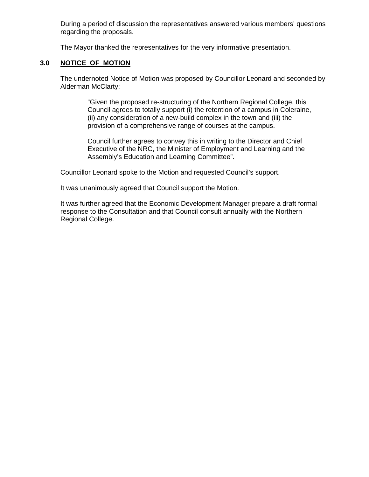During a period of discussion the representatives answered various members' questions regarding the proposals.

The Mayor thanked the representatives for the very informative presentation.

#### **3.0 NOTICE OF MOTION**

 The undernoted Notice of Motion was proposed by Councillor Leonard and seconded by Alderman McClarty:

> "Given the proposed re-structuring of the Northern Regional College, this Council agrees to totally support (i) the retention of a campus in Coleraine, (ii) any consideration of a new-build complex in the town and (iii) the provision of a comprehensive range of courses at the campus.

Council further agrees to convey this in writing to the Director and Chief Executive of the NRC, the Minister of Employment and Learning and the Assembly's Education and Learning Committee".

Councillor Leonard spoke to the Motion and requested Council's support.

It was unanimously agreed that Council support the Motion.

It was further agreed that the Economic Development Manager prepare a draft formal response to the Consultation and that Council consult annually with the Northern Regional College.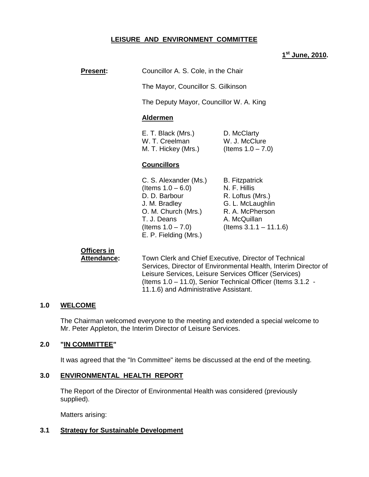# **LEISURE AND ENVIRONMENT COMMITTEE**

# **1 st June, 2010.**

The Mayor, Councillor S. Gilkinson

The Deputy Mayor, Councillor W. A. King

#### **Aldermen**

| E. T. Black (Mrs.)  | D. McClarty          |
|---------------------|----------------------|
| W. T. Creelman      | W. J. McClure        |
| M. T. Hickey (Mrs.) | (Items $1.0 - 7.0$ ) |

#### **Councillors**

| C. S. Alexander (Ms.) | <b>B.</b> Fitzpatrick     |
|-----------------------|---------------------------|
| (Items $1.0 - 6.0$ )  | N. F. Hillis              |
| D. D. Barbour         | R. Loftus (Mrs.)          |
| J. M. Bradley         | G. L. McLaughlin          |
| O. M. Church (Mrs.)   | R. A. McPherson           |
| T. J. Deans           | A. McQuillan              |
| (Items $1.0 - 7.0$ )  | (Items $3.1.1 - 11.1.6$ ) |
| E. P. Fielding (Mrs.) |                           |

# **Officers in**

Attendance: Town Clerk and Chief Executive, Director of Technical Services, Director of Environmental Health, Interim Director of Leisure Services, Leisure Services Officer (Services) (Items 1.0 – 11.0), Senior Technical Officer (Items 3.1.2 - 11.1.6) and Administrative Assistant.

### **1.0 WELCOME**

 The Chairman welcomed everyone to the meeting and extended a special welcome to Mr. Peter Appleton, the Interim Director of Leisure Services.

#### **2.0 "IN COMMITTEE"**

It was agreed that the "In Committee" items be discussed at the end of the meeting.

#### **3.0 ENVIRONMENTAL HEALTH REPORT**

 The Report of the Director of Environmental Health was considered (previously supplied).

Matters arising:

#### **3.1 Strategy for Sustainable Development**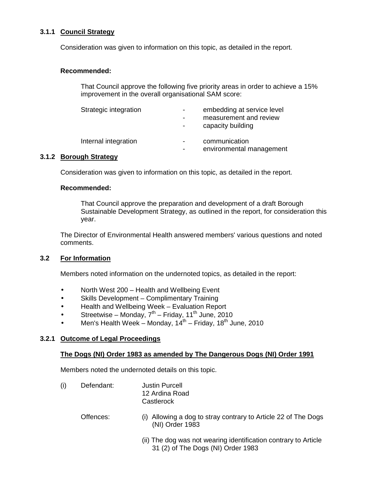# **3.1.1 Council Strategy**

Consideration was given to information on this topic, as detailed in the report.

#### **Recommended:**

 That Council approve the following five priority areas in order to achieve a 15% improvement in the overall organisational SAM score:

| Strategic integration | embedding at service level<br>measurement and review<br>capacity building |
|-----------------------|---------------------------------------------------------------------------|
| Internal integration  | communication<br>environmental management                                 |

#### **3.1.2 Borough Strategy**

Consideration was given to information on this topic, as detailed in the report.

#### **Recommended:**

 That Council approve the preparation and development of a draft Borough Sustainable Development Strategy, as outlined in the report, for consideration this year.

 The Director of Environmental Health answered members' various questions and noted comments.

#### **3.2 For Information**

Members noted information on the undernoted topics, as detailed in the report:

- North West 200 Health and Wellbeing Event
- Skills Development Complimentary Training
- Health and Wellbeing Week Evaluation Report
- Streetwise Monday,  $7<sup>th</sup>$  Friday, 11<sup>th</sup> June, 2010
- Men's Health Week Monday,  $14^{th}$  Friday,  $18^{th}$  June, 2010

#### **3.2.1 Outcome of Legal Proceedings**

#### **The Dogs (NI) Order 1983 as amended by The Dangerous Dogs (NI) Order 1991**

Members noted the undernoted details on this topic.

- (i) Defendant: Justin Purcell 12 Ardina Road **Castlerock** 
	- Offences: (i) Allowing a dog to stray contrary to Article 22 of The Dogs (NI) Order 1983
		- (ii) The dog was not wearing identification contrary to Article 31 (2) of The Dogs (NI) Order 1983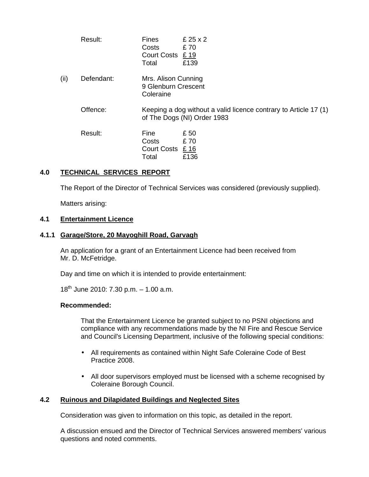|      | Result:    | <b>Fines</b><br>Costs<br>Court Costs £19<br>Total       | £ $25 \times 2$<br>£70<br>£139                                                                  |
|------|------------|---------------------------------------------------------|-------------------------------------------------------------------------------------------------|
| (ii) | Defendant: | Mrs. Alison Cunning<br>9 Glenburn Crescent<br>Coleraine |                                                                                                 |
|      | Offence:   |                                                         | Keeping a dog without a valid licence contrary to Article 17 (1)<br>of The Dogs (NI) Order 1983 |
|      | Result:    | Fine<br>Costs<br>Court Costs £16<br>Total               | £ 50<br>£70<br>£136                                                                             |

# **4.0 TECHNICAL SERVICES REPORT**

The Report of the Director of Technical Services was considered (previously supplied).

Matters arising:

#### **4.1 Entertainment Licence**

#### **4.1.1 Garage/Store, 20 Mayoghill Road, Garvagh**

 An application for a grant of an Entertainment Licence had been received from Mr. D. McFetridge.

Day and time on which it is intended to provide entertainment:

 $18^{th}$  June 2010: 7.30 p.m.  $-1.00$  a.m.

#### **Recommended:**

 That the Entertainment Licence be granted subject to no PSNI objections and compliance with any recommendations made by the NI Fire and Rescue Service and Council's Licensing Department, inclusive of the following special conditions:

- All requirements as contained within Night Safe Coleraine Code of Best Practice 2008.
- All door supervisors employed must be licensed with a scheme recognised by Coleraine Borough Council.

#### **4.2 Ruinous and Dilapidated Buildings and Neglected Sites**

Consideration was given to information on this topic, as detailed in the report.

 A discussion ensued and the Director of Technical Services answered members' various questions and noted comments.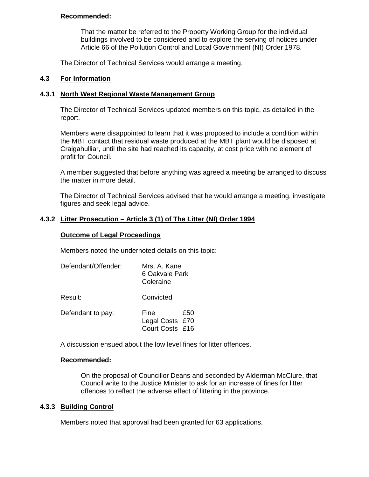#### **Recommended:**

 That the matter be referred to the Property Working Group for the individual buildings involved to be considered and to explore the serving of notices under Article 66 of the Pollution Control and Local Government (NI) Order 1978.

The Director of Technical Services would arrange a meeting.

#### **4.3 For Information**

#### **4.3.1 North West Regional Waste Management Group**

 The Director of Technical Services updated members on this topic, as detailed in the report.

 Members were disappointed to learn that it was proposed to include a condition within the MBT contact that residual waste produced at the MBT plant would be disposed at Craigahulliar, until the site had reached its capacity, at cost price with no element of profit for Council.

 A member suggested that before anything was agreed a meeting be arranged to discuss the matter in more detail.

 The Director of Technical Services advised that he would arrange a meeting, investigate figures and seek legal advice.

#### **4.3.2 Litter Prosecution – Article 3 (1) of The Litter (NI) Order 1994**

#### **Outcome of Legal Proceedings**

Members noted the undernoted details on this topic:

| Defendant/Offender: | Mrs. A. Kane<br>6 Oakvale Park<br>Coleraine       |
|---------------------|---------------------------------------------------|
| Result:             | Convicted                                         |
| Defendant to pay:   | Fine<br>£50<br>Legal Costs £70<br>Court Costs £16 |

A discussion ensued about the low level fines for litter offences.

#### **Recommended:**

 On the proposal of Councillor Deans and seconded by Alderman McClure, that Council write to the Justice Minister to ask for an increase of fines for litter offences to reflect the adverse effect of littering in the province.

#### **4.3.3 Building Control**

Members noted that approval had been granted for 63 applications.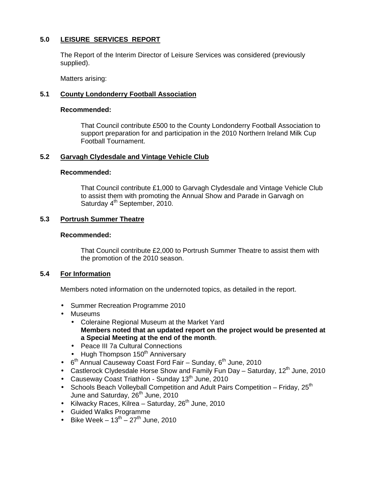# **5.0 LEISURE SERVICES REPORT**

 The Report of the Interim Director of Leisure Services was considered (previously supplied).

Matters arising:

# **5.1 County Londonderry Football Association**

#### **Recommended:**

 That Council contribute £500 to the County Londonderry Football Association to support preparation for and participation in the 2010 Northern Ireland Milk Cup Football Tournament.

#### **5.2 Garvagh Clydesdale and Vintage Vehicle Club**

#### **Recommended:**

 That Council contribute £1,000 to Garvagh Clydesdale and Vintage Vehicle Club to assist them with promoting the Annual Show and Parade in Garvagh on Saturday 4<sup>th</sup> September, 2010.

#### **5.3 Portrush Summer Theatre**

#### **Recommended:**

 That Council contribute £2,000 to Portrush Summer Theatre to assist them with the promotion of the 2010 season.

#### **5.4 For Information**

Members noted information on the undernoted topics, as detailed in the report.

- Summer Recreation Programme 2010
- Museums
	- Coleraine Regional Museum at the Market Yard **Members noted that an updated report on the project would be presented at a Special Meeting at the end of the month**.
	- Peace III 7a Cultural Connections
	- Hugh Thompson  $150<sup>th</sup>$  Anniversary
- $\bullet$  6<sup>th</sup> Annual Causeway Coast Ford Fair Sunday, 6<sup>th</sup> June, 2010
- Castlerock Clydesdale Horse Show and Family Fun Day Saturday, 12<sup>th</sup> June, 2010
- Causeway Coast Triathlon Sunday 13<sup>th</sup> June, 2010
- Schools Beach Volleyball Competition and Adult Pairs Competition Friday,  $25<sup>th</sup>$ June and Saturday, 26<sup>th</sup> June, 2010
- Kilwacky Races, Kilrea Saturday,  $26<sup>th</sup>$  June, 2010
- Guided Walks Programme
- Bike Week  $13^{th}$   $27^{th}$  June, 2010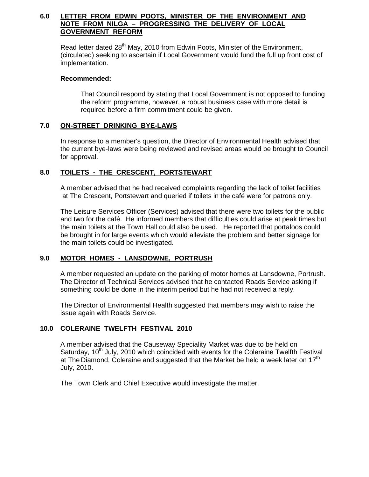# **6.0 LETTER FROM EDWIN POOTS, MINISTER OF THE ENVIRONMENT AND NOTE FROM NILGA – PROGRESSING THE DELIVERY OF LOCAL GOVERNMENT REFORM**

Read letter dated 28<sup>th</sup> May, 2010 from Edwin Poots, Minister of the Environment, (circulated) seeking to ascertain if Local Government would fund the full up front cost of implementation.

#### **Recommended:**

That Council respond by stating that Local Government is not opposed to funding the reform programme, however, a robust business case with more detail is required before a firm commitment could be given.

# **7.0 ON-STREET DRINKING BYE-LAWS**

 In response to a member's question, the Director of Environmental Health advised that the current bye-laws were being reviewed and revised areas would be brought to Council for approval.

# **8.0 TOILETS - THE CRESCENT, PORTSTEWART**

 A member advised that he had received complaints regarding the lack of toilet facilities at The Crescent, Portstewart and queried if toilets in the café were for patrons only.

 The Leisure Services Officer (Services) advised that there were two toilets for the public and two for the café. He informed members that difficulties could arise at peak times but the main toilets at the Town Hall could also be used. He reported that portaloos could be brought in for large events which would alleviate the problem and better signage for the main toilets could be investigated.

# **9.0 MOTOR HOMES - LANSDOWNE, PORTRUSH**

 A member requested an update on the parking of motor homes at Lansdowne, Portrush. The Director of Technical Services advised that he contacted Roads Service asking if something could be done in the interim period but he had not received a reply.

 The Director of Environmental Health suggested that members may wish to raise the issue again with Roads Service.

# **10.0 COLERAINE TWELFTH FESTIVAL 2010**

 A member advised that the Causeway Speciality Market was due to be held on Saturday, 10<sup>th</sup> July, 2010 which coincided with events for the Coleraine Twelfth Festival at The Diamond, Coleraine and suggested that the Market be held a week later on 17<sup>th</sup> July, 2010.

The Town Clerk and Chief Executive would investigate the matter.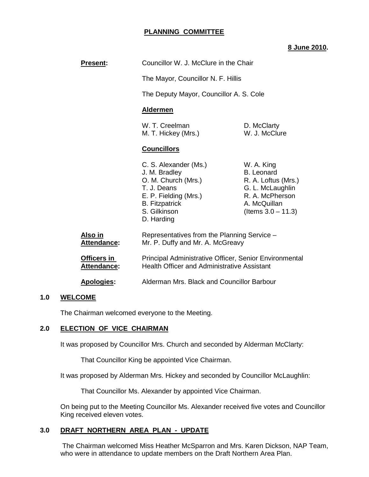# **PLANNING COMMITTEE**

#### **8 June 2010.**

| <b>Present:</b>                   | Councillor W. J. McClure in the Chair                                                                                                                                                                                                         |                                                                                                                                        |  |
|-----------------------------------|-----------------------------------------------------------------------------------------------------------------------------------------------------------------------------------------------------------------------------------------------|----------------------------------------------------------------------------------------------------------------------------------------|--|
|                                   | The Mayor, Councillor N. F. Hillis                                                                                                                                                                                                            |                                                                                                                                        |  |
|                                   | The Deputy Mayor, Councillor A. S. Cole                                                                                                                                                                                                       |                                                                                                                                        |  |
|                                   | <b>Aldermen</b>                                                                                                                                                                                                                               |                                                                                                                                        |  |
|                                   | W. T. Creelman<br>M. T. Hickey (Mrs.)                                                                                                                                                                                                         | D. McClarty<br>W. J. McClure                                                                                                           |  |
|                                   | <b>Councillors</b>                                                                                                                                                                                                                            |                                                                                                                                        |  |
|                                   | C. S. Alexander (Ms.)<br>J. M. Bradley<br>O. M. Church (Mrs.)<br>T. J. Deans<br>E. P. Fielding (Mrs.)<br><b>B.</b> Fitzpatrick<br>S. Gilkinson<br>D. Harding                                                                                  | W. A. King<br><b>B.</b> Leonard<br>R. A. Loftus (Mrs.)<br>G. L. McLaughlin<br>R. A. McPherson<br>A. McQuillan<br>(Items $3.0 - 11.3$ ) |  |
| Also in<br><b>Attendance:</b>     | Representatives from the Planning Service -<br>Mr. P. Duffy and Mr. A. McGreavy<br>Principal Administrative Officer, Senior Environmental<br><b>Health Officer and Administrative Assistant</b><br>Alderman Mrs. Black and Councillor Barbour |                                                                                                                                        |  |
| Officers in<br><b>Attendance:</b> |                                                                                                                                                                                                                                               |                                                                                                                                        |  |
| Apologies:                        |                                                                                                                                                                                                                                               |                                                                                                                                        |  |

#### **1.0 WELCOME**

The Chairman welcomed everyone to the Meeting.

## **2.0 ELECTION OF VICE CHAIRMAN**

It was proposed by Councillor Mrs. Church and seconded by Alderman McClarty:

That Councillor King be appointed Vice Chairman.

It was proposed by Alderman Mrs. Hickey and seconded by Councillor McLaughlin:

That Councillor Ms. Alexander by appointed Vice Chairman.

 On being put to the Meeting Councillor Ms. Alexander received five votes and Councillor King received eleven votes.

# **3.0 DRAFT NORTHERN AREA PLAN - UPDATE**

The Chairman welcomed Miss Heather McSparron and Mrs. Karen Dickson, NAP Team, who were in attendance to update members on the Draft Northern Area Plan.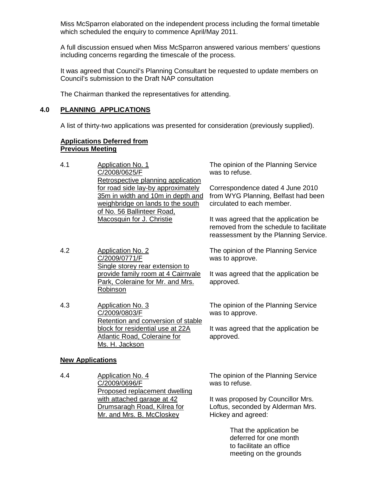Miss McSparron elaborated on the independent process including the formal timetable which scheduled the enquiry to commence April/May 2011.

 A full discussion ensued when Miss McSparron answered various members' questions including concerns regarding the timescale of the process.

 It was agreed that Council's Planning Consultant be requested to update members on Council's submission to the Draft NAP consultation

The Chairman thanked the representatives for attending.

### **4.0 PLANNING APPLICATIONS**

A list of thirty-two applications was presented for consideration (previously supplied).

# **Applications Deferred from Previous Meeting**

| 4.1                     | <b>Application No. 1</b><br>C/2008/0625/F<br>Retrospective planning application                                                            | The opinion of the Planning Service<br>was to refuse.                                                                     |  |
|-------------------------|--------------------------------------------------------------------------------------------------------------------------------------------|---------------------------------------------------------------------------------------------------------------------------|--|
|                         | for road side lay-by approximately<br>35m in width and 10m in depth and<br>weighbridge on lands to the south<br>of No. 56 Ballinteer Road, | Correspondence dated 4 June 2010<br>from WYG Planning, Belfast had been<br>circulated to each member.                     |  |
|                         | Macosquin for J. Christie                                                                                                                  | It was agreed that the application be<br>removed from the schedule to facilitate<br>reassessment by the Planning Service. |  |
| 4.2                     | <b>Application No. 2</b><br>C/2009/0771/F<br>Single storey rear extension to                                                               | The opinion of the Planning Service<br>was to approve.                                                                    |  |
|                         | provide family room at 4 Cairnvale<br>Park, Coleraine for Mr. and Mrs.<br>Robinson                                                         | It was agreed that the application be<br>approved.                                                                        |  |
| 4.3                     | <b>Application No. 3</b><br>C/2009/0803/F<br>Retention and conversion of stable                                                            | The opinion of the Planning Service<br>was to approve.                                                                    |  |
|                         | block for residential use at 22A<br>Atlantic Road, Coleraine for<br>Ms. H. Jackson                                                         | It was agreed that the application be<br>approved.                                                                        |  |
| <b>New Applications</b> |                                                                                                                                            |                                                                                                                           |  |
| 4.4                     | Application No. 4<br>C/2009/0696/F<br>Proposed replacement dwelling                                                                        | The opinion of the Planning Service<br>was to refuse.                                                                     |  |
|                         | with attached garage at 42<br>Drumsaragh Road, Kilrea for<br>Mr. and Mrs. B. McCloskey                                                     | It was proposed by Councillor Mrs.<br>Loftus, seconded by Alderman Mrs.<br>Hickey and agreed:                             |  |

 That the application be deferred for one month to facilitate an office meeting on the grounds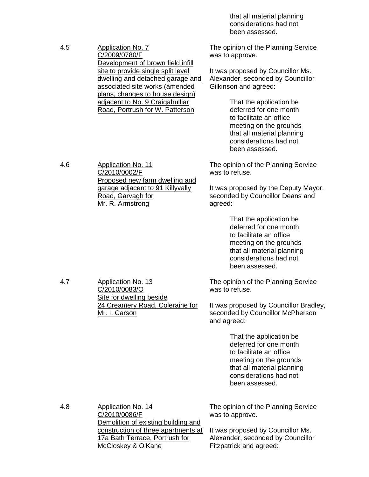that all material planning considerations had not been assessed.

| 4.5 | <b>Application No. 7</b><br>C/2009/0780/F<br>Development of brown field infill<br>site to provide single split level<br>dwelling and detached garage and<br>associated site works (amended<br>plans, changes to house design)<br>adjacent to No. 9 Craigahulliar<br>Road, Portrush for W. Patterson | The opinion of the Planning Service<br>was to approve.<br>It was proposed by Councillor Ms.<br>Alexander, seconded by Councillor<br>Gilkinson and agreed:<br>That the application be<br>deferred for one month<br>to facilitate an office<br>meeting on the grounds<br>that all material planning<br>considerations had not<br>been assessed. |
|-----|-----------------------------------------------------------------------------------------------------------------------------------------------------------------------------------------------------------------------------------------------------------------------------------------------------|-----------------------------------------------------------------------------------------------------------------------------------------------------------------------------------------------------------------------------------------------------------------------------------------------------------------------------------------------|
| 4.6 | <b>Application No. 11</b><br>C/2010/0002/F<br>Proposed new farm dwelling and<br>garage adjacent to 91 Killyvally<br>Road, Garvagh for<br>Mr. R. Armstrong                                                                                                                                           | The opinion of the Planning Service<br>was to refuse.<br>It was proposed by the Deputy Mayor,<br>seconded by Councillor Deans and<br>agreed:<br>That the application be<br>deferred for one month<br>to facilitate an office<br>meeting on the grounds<br>that all material planning<br>considerations had not<br>been assessed.              |
| 4.7 | Application No. 13<br>C/2010/0083/O<br>Site for dwelling beside<br>24 Creamery Road, Coleraine for<br>Mr. I. Carson                                                                                                                                                                                 | The opinion of the Planning Service<br>was to refuse.<br>It was proposed by Councillor Bradley,<br>seconded by Councillor McPherson<br>and agreed:<br>That the application be<br>deferred for one month<br>to facilitate an office<br>meeting on the grounds<br>that all material planning<br>considerations had not<br>been assessed.        |
| 4.8 | <b>Application No. 14</b><br>C/2010/0086/F<br>Demolition of existing building and<br>construction of three apartments at<br>17a Bath Terrace, Portrush for<br>McCloskey & O'Kane                                                                                                                    | The opinion of the Planning Service<br>was to approve.<br>It was proposed by Councillor Ms.<br>Alexander, seconded by Councillor<br>Fitzpatrick and agreed:                                                                                                                                                                                   |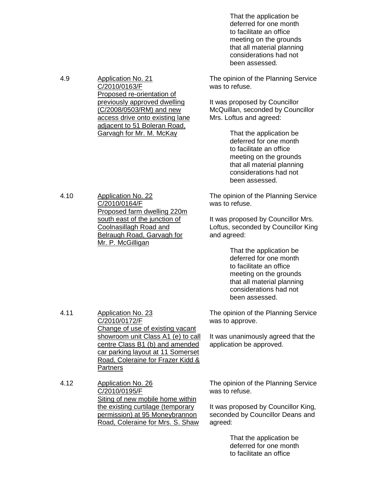That the application be deferred for one month to facilitate an office meeting on the grounds that all material planning considerations had not been assessed.

The opinion of the Planning Service was to refuse.

It was proposed by Councillor McQuillan, seconded by Councillor Mrs. Loftus and agreed:

> That the application be deferred for one month to facilitate an office meeting on the grounds that all material planning considerations had not been assessed.

The opinion of the Planning Service was to refuse.

It was proposed by Councillor Mrs. Loftus, seconded by Councillor King and agreed:

> That the application be deferred for one month to facilitate an office meeting on the grounds that all material planning considerations had not been assessed.

The opinion of the Planning Service was to approve.

It was unanimously agreed that the application be approved.

4.9 Application No. 21 C/2010/0163/F Proposed re-orientation of previously approved dwelling (C/2008/0503/RM) and new access drive onto existing lane adjacent to 51 Boleran Road, Garvagh for Mr. M. McKay

4.10 Application No. 22 C/2010/0164/F Proposed farm dwelling 220m south east of the junction of Coolnasillagh Road and Belraugh Road, Garvagh for Mr. P. McGilligan

4.11 Application No. 23 C/2010/0172/F Change of use of existing vacant showroom unit Class A1 (e) to call centre Class B1 (b) and amended car parking layout at 11 Somerset Road, Coleraine for Frazer Kidd &

**Partners** 

4.12 Application No. 26 C/2010/0195/F Siting of new mobile home within the existing curtilage (temporary permission) at 95 Moneybrannon Road, Coleraine for Mrs. S. Shaw

The opinion of the Planning Service was to refuse.

It was proposed by Councillor King, seconded by Councillor Deans and agreed:

> That the application be deferred for one month to facilitate an office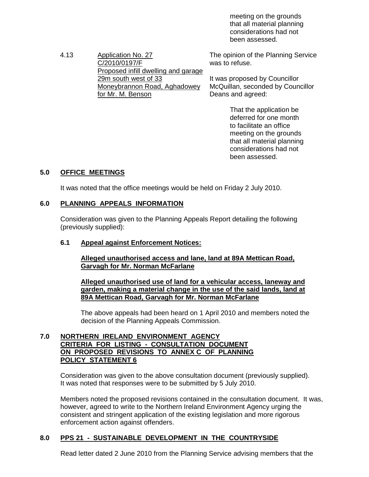meeting on the grounds that all material planning considerations had not been assessed.

4.13 Application No. 27 C/2010/0197/F Proposed infill dwelling and garage 29m south west of 33 Moneybrannon Road, Aghadowey for Mr. M. Benson The opinion of the Planning Service was to refuse. It was proposed by Councillor McQuillan, seconded by Councillor Deans and agreed:

> That the application be deferred for one month to facilitate an office meeting on the grounds that all material planning considerations had not been assessed.

# **5.0 OFFICE MEETINGS**

It was noted that the office meetings would be held on Friday 2 July 2010.

# **6.0 PLANNING APPEALS INFORMATION**

 Consideration was given to the Planning Appeals Report detailing the following (previously supplied):

# **6.1 Appeal against Enforcement Notices:**

 **Alleged unauthorised access and lane, land at 89A Mettican Road, Garvagh for Mr. Norman McFarlane**

 **Alleged unauthorised use of land for a vehicular access, laneway and garden, making a material change in the use of the said lands, land at 89A Mettican Road, Garvagh for Mr. Norman McFarlane**

The above appeals had been heard on 1 April 2010 and members noted the decision of the Planning Appeals Commission.

#### **7.0 NORTHERN IRELAND ENVIRONMENT AGENCY CRITERIA FOR LISTING - CONSULTATION DOCUMENT ON PROPOSED REVISIONS TO ANNEX C OF PLANNING POLICY STATEMENT 6**

Consideration was given to the above consultation document (previously supplied). It was noted that responses were to be submitted by 5 July 2010.

 Members noted the proposed revisions contained in the consultation document. It was, however, agreed to write to the Northern Ireland Environment Agency urging the consistent and stringent application of the existing legislation and more rigorous enforcement action against offenders.

# **8.0 PPS 21 - SUSTAINABLE DEVELOPMENT IN THE COUNTRYSIDE**

Read letter dated 2 June 2010 from the Planning Service advising members that the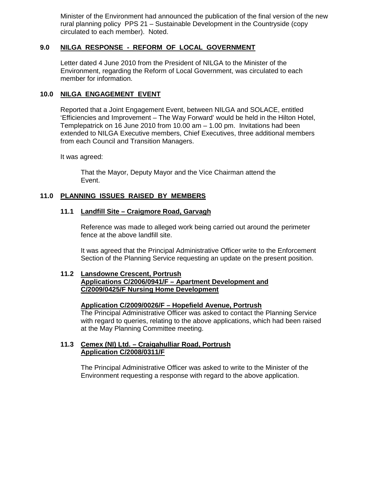Minister of the Environment had announced the publication of the final version of the new rural planning policy PPS 21 – Sustainable Development in the Countryside (copy circulated to each member). Noted.

#### **9.0 NILGA RESPONSE - REFORM OF LOCAL GOVERNMENT**

 Letter dated 4 June 2010 from the President of NILGA to the Minister of the Environment, regarding the Reform of Local Government, was circulated to each member for information.

### **10.0 NILGA ENGAGEMENT EVENT**

 Reported that a Joint Engagement Event, between NILGA and SOLACE, entitled 'Efficiencies and Improvement – The Way Forward' would be held in the Hilton Hotel, Templepatrick on 16 June 2010 from 10.00 am – 1.00 pm. Invitations had been extended to NILGA Executive members, Chief Executives, three additional members from each Council and Transition Managers.

It was agreed:

 That the Mayor, Deputy Mayor and the Vice Chairman attend the Event.

#### **11.0 PLANNING ISSUES RAISED BY MEMBERS**

#### **11.1 Landfill Site – Craigmore Road, Garvagh**

 Reference was made to alleged work being carried out around the perimeter fence at the above landfill site.

 It was agreed that the Principal Administrative Officer write to the Enforcement Section of the Planning Service requesting an update on the present position.

#### **11.2 Lansdowne Crescent, Portrush Applications C/2006/0941/F – Apartment Development and C/2009/0425/F Nursing Home Development**

#### **Application C/2009/0026/F – Hopefield Avenue, Portrush**

 The Principal Administrative Officer was asked to contact the Planning Service with regard to queries, relating to the above applications, which had been raised at the May Planning Committee meeting.

# **11.3 Cemex (NI) Ltd. – Craigahulliar Road, Portrush Application C/2008/0311/F**

 The Principal Administrative Officer was asked to write to the Minister of the Environment requesting a response with regard to the above application.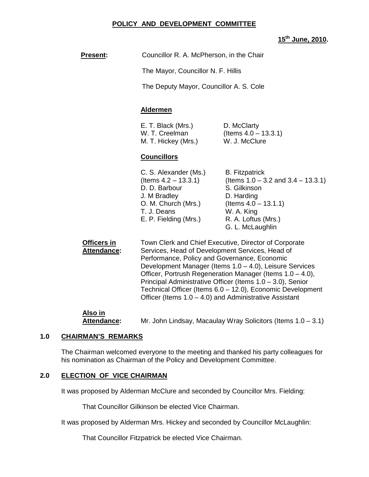#### **POLICY AND DEVELOPMENT COMMITTEE**

# **15th June, 2010.**

| <b>Present:</b>                   | Councillor R. A. McPherson, in the Chair                                                                                                                                                                                                                                                                                                                                                                                                                                                                                                        |                                                                                                                                                                                    |
|-----------------------------------|-------------------------------------------------------------------------------------------------------------------------------------------------------------------------------------------------------------------------------------------------------------------------------------------------------------------------------------------------------------------------------------------------------------------------------------------------------------------------------------------------------------------------------------------------|------------------------------------------------------------------------------------------------------------------------------------------------------------------------------------|
|                                   | The Mayor, Councillor N. F. Hillis                                                                                                                                                                                                                                                                                                                                                                                                                                                                                                              |                                                                                                                                                                                    |
|                                   | The Deputy Mayor, Councillor A. S. Cole                                                                                                                                                                                                                                                                                                                                                                                                                                                                                                         |                                                                                                                                                                                    |
|                                   | <b>Aldermen</b>                                                                                                                                                                                                                                                                                                                                                                                                                                                                                                                                 |                                                                                                                                                                                    |
|                                   | E. T. Black (Mrs.)<br>W. T. Creelman<br>M. T. Hickey (Mrs.)                                                                                                                                                                                                                                                                                                                                                                                                                                                                                     | D. McClarty<br>(Items $4.0 - 13.3.1$ )<br>W. J. McClure                                                                                                                            |
|                                   | <b>Councillors</b>                                                                                                                                                                                                                                                                                                                                                                                                                                                                                                                              |                                                                                                                                                                                    |
|                                   | C. S. Alexander (Ms.)<br>(Items $4.2 - 13.3.1$ )<br>D. D. Barbour<br>J. M Bradley<br>O. M. Church (Mrs.)<br>T. J. Deans<br>E. P. Fielding (Mrs.)                                                                                                                                                                                                                                                                                                                                                                                                | <b>B.</b> Fitzpatrick<br>(Items $1.0 - 3.2$ and $3.4 - 13.3.1$ )<br>S. Gilkinson<br>D. Harding<br>(Items $4.0 - 13.1.1$ )<br>W. A. King<br>R. A. Loftus (Mrs.)<br>G. L. McLaughlin |
| Officers in<br><b>Attendance:</b> | Town Clerk and Chief Executive, Director of Corporate<br>Services, Head of Development Services, Head of<br>Performance, Policy and Governance, Economic<br>Development Manager (Items 1.0 - 4.0), Leisure Services<br>Officer, Portrush Regeneration Manager (Items 1.0 - 4.0),<br>Principal Administrative Officer (Items $1.0 - 3.0$ ), Senior<br>Technical Officer (Items 6.0 - 12.0), Economic Development<br>Officer (Items $1.0 - 4.0$ ) and Administrative Assistant<br>Mr. John Lindsay, Macaulay Wray Solicitors (Items $1.0 - 3.1$ ) |                                                                                                                                                                                    |
| Also in<br><b>Attendance:</b>     |                                                                                                                                                                                                                                                                                                                                                                                                                                                                                                                                                 |                                                                                                                                                                                    |

#### **1.0 CHAIRMAN'S REMARKS**

The Chairman welcomed everyone to the meeting and thanked his party colleagues for his nomination as Chairman of the Policy and Development Committee.

#### **2.0 ELECTION OF VICE CHAIRMAN**

It was proposed by Alderman McClure and seconded by Councillor Mrs. Fielding:

That Councillor Gilkinson be elected Vice Chairman.

It was proposed by Alderman Mrs. Hickey and seconded by Councillor McLaughlin:

That Councillor Fitzpatrick be elected Vice Chairman.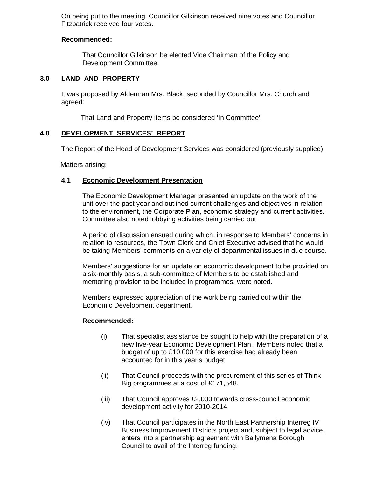On being put to the meeting, Councillor Gilkinson received nine votes and Councillor Fitzpatrick received four votes.

#### **Recommended:**

That Councillor Gilkinson be elected Vice Chairman of the Policy and Development Committee.

#### **3.0 LAND AND PROPERTY**

 It was proposed by Alderman Mrs. Black, seconded by Councillor Mrs. Church and agreed:

That Land and Property items be considered 'In Committee'.

#### **4.0 DEVELOPMENT SERVICES' REPORT**

The Report of the Head of Development Services was considered (previously supplied).

Matters arising:

#### **4.1 Economic Development Presentation**

The Economic Development Manager presented an update on the work of the unit over the past year and outlined current challenges and objectives in relation to the environment, the Corporate Plan, economic strategy and current activities. Committee also noted lobbying activities being carried out.

A period of discussion ensued during which, in response to Members' concerns in relation to resources, the Town Clerk and Chief Executive advised that he would be taking Members' comments on a variety of departmental issues in due course.

Members' suggestions for an update on economic development to be provided on a six-monthly basis, a sub-committee of Members to be established and mentoring provision to be included in programmes, were noted.

Members expressed appreciation of the work being carried out within the Economic Development department.

#### **Recommended:**

- (i) That specialist assistance be sought to help with the preparation of a new five-year Economic Development Plan. Members noted that a budget of up to £10,000 for this exercise had already been accounted for in this year's budget.
- (ii) That Council proceeds with the procurement of this series of Think Big programmes at a cost of £171,548.
- (iii) That Council approves £2,000 towards cross-council economic development activity for 2010-2014.
- (iv) That Council participates in the North East Partnership Interreg IV Business Improvement Districts project and, subject to legal advice, enters into a partnership agreement with Ballymena Borough Council to avail of the Interreg funding.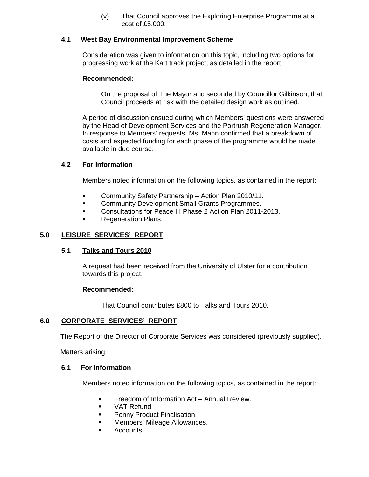(v) That Council approves the Exploring Enterprise Programme at a cost of £5,000.

### **4.1 West Bay Environmental Improvement Scheme**

Consideration was given to information on this topic, including two options for progressing work at the Kart track project, as detailed in the report.

### **Recommended:**

 On the proposal of The Mayor and seconded by Councillor Gilkinson, that Council proceeds at risk with the detailed design work as outlined.

A period of discussion ensued during which Members' questions were answered by the Head of Development Services and the Portrush Regeneration Manager. In response to Members' requests, Ms. Mann confirmed that a breakdown of costs and expected funding for each phase of the programme would be made available in due course.

# **4.2 For Information**

Members noted information on the following topics, as contained in the report:

- **Community Safety Partnership Action Plan 2010/11.**
- **EXECOMMUNITY Development Small Grants Programmes.**
- **Consultations for Peace III Phase 2 Action Plan 2011-2013.**
- **Regeneration Plans.**

# **5.0 LEISURE SERVICES' REPORT**

#### **5.1 Talks and Tours 2010**

 A request had been received from the University of Ulster for a contribution towards this project.

#### **Recommended:**

That Council contributes £800 to Talks and Tours 2010.

# **6.0 CORPORATE SERVICES' REPORT**

The Report of the Director of Corporate Services was considered (previously supplied).

Matters arising:

#### **6.1 For Information**

Members noted information on the following topics, as contained in the report:

- **Freedom of Information Act Annual Review.**
- VAT Refund.
- **Penny Product Finalisation.**
- **Members' Mileage Allowances.**
- Accounts**.**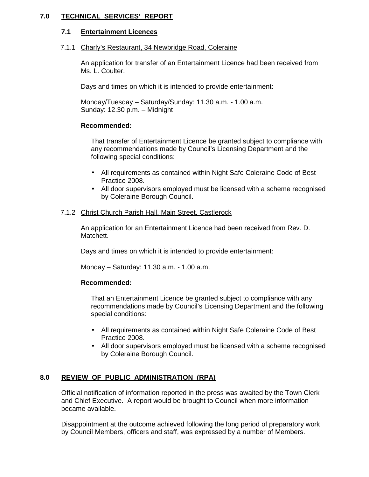# **7.0 TECHNICAL SERVICES' REPORT**

# **7.1 Entertainment Licences**

### 7.1.1 Charly's Restaurant, 34 Newbridge Road, Coleraine

 An application for transfer of an Entertainment Licence had been received from Ms. L. Coulter.

Days and times on which it is intended to provide entertainment:

 Monday/Tuesday – Saturday/Sunday: 11.30 a.m. - 1.00 a.m. Sunday: 12.30 p.m. – Midnight

# **Recommended:**

 That transfer of Entertainment Licence be granted subject to compliance with any recommendations made by Council's Licensing Department and the following special conditions:

- All requirements as contained within Night Safe Coleraine Code of Best Practice 2008.
- All door supervisors employed must be licensed with a scheme recognised by Coleraine Borough Council.

# 7.1.2 Christ Church Parish Hall, Main Street, Castlerock

 An application for an Entertainment Licence had been received from Rev. D. Matchett.

Days and times on which it is intended to provide entertainment:

Monday – Saturday: 11.30 a.m. - 1.00 a.m.

#### **Recommended:**

 That an Entertainment Licence be granted subject to compliance with any recommendations made by Council's Licensing Department and the following special conditions:

- All requirements as contained within Night Safe Coleraine Code of Best Practice 2008.
- All door supervisors employed must be licensed with a scheme recognised by Coleraine Borough Council.

# **8.0 REVIEW OF PUBLIC ADMINISTRATION (RPA)**

Official notification of information reported in the press was awaited by the Town Clerk and Chief Executive. A report would be brought to Council when more information became available.

Disappointment at the outcome achieved following the long period of preparatory work by Council Members, officers and staff, was expressed by a number of Members.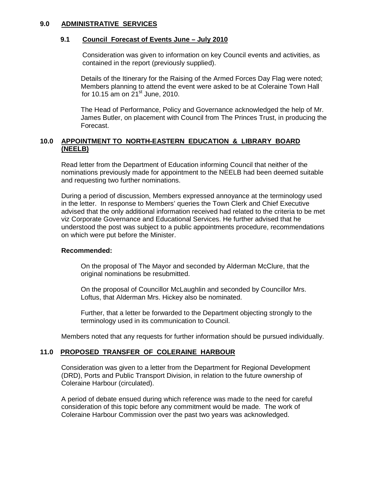#### **9.0 ADMINISTRATIVE SERVICES**

### **9.1 Council Forecast of Events June – July 2010**

 Consideration was given to information on key Council events and activities, as contained in the report (previously supplied).

Details of the Itinerary for the Raising of the Armed Forces Day Flag were noted; Members planning to attend the event were asked to be at Coleraine Town Hall for 10.15 am on  $21<sup>st</sup>$  June, 2010.

 The Head of Performance, Policy and Governance acknowledged the help of Mr. James Butler, on placement with Council from The Princes Trust, in producing the Forecast.

# **10.0 APPOINTMENT TO NORTH-EASTERN EDUCATION & LIBRARY BOARD (NEELB)**

Read letter from the Department of Education informing Council that neither of the nominations previously made for appointment to the NEELB had been deemed suitable and requesting two further nominations.

 During a period of discussion, Members expressed annoyance at the terminology used in the letter.In response to Members' queries the Town Clerk and Chief Executive advised that the only additional information received had related to the criteria to be met viz Corporate Governance and Educational Services. He further advised that he understood the post was subject to a public appointments procedure, recommendations on which were put before the Minister.

#### **Recommended:**

On the proposal of The Mayor and seconded by Alderman McClure, that the original nominations be resubmitted.

 On the proposal of Councillor McLaughlin and seconded by Councillor Mrs. Loftus, that Alderman Mrs. Hickey also be nominated.

 Further, that a letter be forwarded to the Department objecting strongly to the terminology used in its communication to Council.

Members noted that any requests for further information should be pursued individually.

# **11.0 PROPOSED TRANSFER OF COLERAINE HARBOUR**

Consideration was given to a letter from the Department for Regional Development (DRD), Ports and Public Transport Division, in relation to the future ownership of Coleraine Harbour (circulated).

A period of debate ensued during which reference was made to the need for careful consideration of this topic before any commitment would be made. The work of Coleraine Harbour Commission over the past two years was acknowledged.